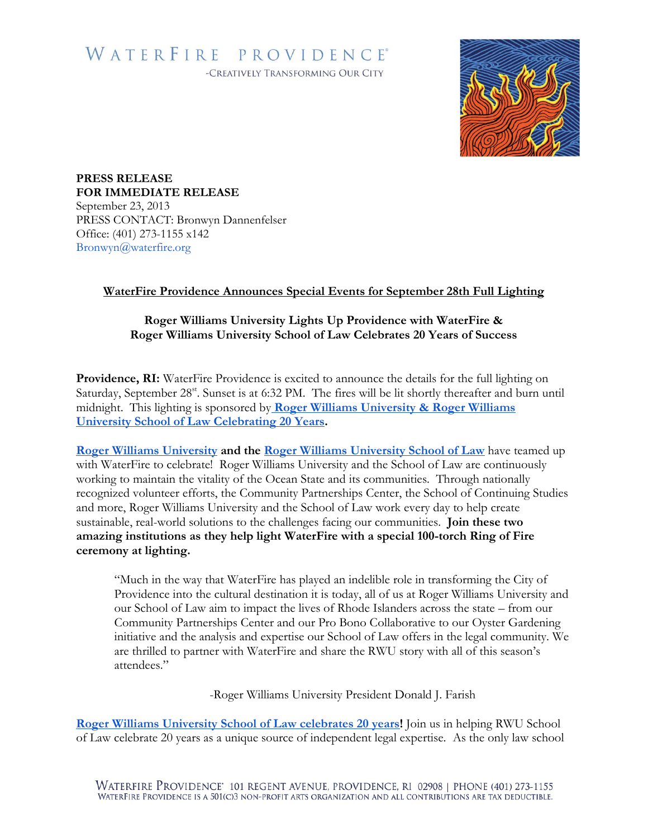# WATERFIRE PROVIDENCE®

-CREATIVELY TRANSFORMING OUR CITY



**PRESS RELEASE FOR IMMEDIATE RELEASE** September 23, 2013 PRESS CONTACT: Bronwyn Dannenfelser Office: (401) 273-1155 x142 Bronwyn@waterfire.org

### **WaterFire Providence Announces Special Events for September 28th Full Lighting**

### **[Roger Williams University](http://www.rwu.edu/) Lights Up Providence with WaterFire & Roger Williams University School of Law Celebrates 20 Years of Success**

Providence, RI: WaterFire Providence is excited to announce the details for the full lighting on Saturday, September 28<sup>st</sup>. Sunset is at 6:32 PM. The fires will be lit shortly thereafter and burn until midnight. This lighting is sponsored by **[Roger Williams University & Roger Williams](http://waterfire.org/schedule/saturday-september-28th-2013/)  [University School of Law Celebrating 20 Years.](http://waterfire.org/schedule/saturday-september-28th-2013/)**

**[Roger Williams University](http://www.rwu.edu/) and the [Roger Williams University School of Law](http://law.rwu.edu/)** have teamed up with WaterFire to celebrate! Roger Williams University and the School of Law are continuously working to maintain the vitality of the Ocean State and its communities. Through nationally recognized volunteer efforts, the Community Partnerships Center, the School of Continuing Studies and more, Roger Williams University and the School of Law work every day to help create sustainable, real-world solutions to the challenges facing our communities. **Join these two amazing institutions as they help light WaterFire with a special 100-torch Ring of Fire ceremony at lighting.**

"Much in the way that WaterFire has played an indelible role in transforming the City of Providence into the cultural destination it is today, all of us at Roger Williams University and our School of Law aim to impact the lives of Rhode Islanders across the state – from our Community Partnerships Center and our Pro Bono Collaborative to our Oyster Gardening initiative and the analysis and expertise our School of Law offers in the legal community. We are thrilled to partner with WaterFire and share the RWU story with all of this season's attendees."

-Roger Williams University President Donald J. Farish

**[Roger Williams University School of Law celebrates 20 years!](http://law.rwu.edu/)** Join us in helping RWU School of Law celebrate 20 years as a unique source of independent legal expertise. As the only law school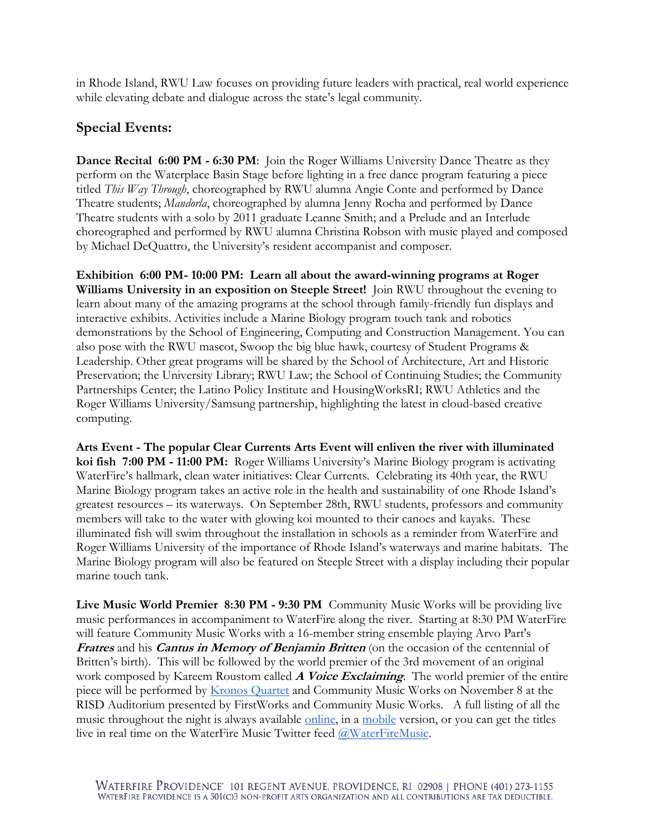in Rhode Island, RWU Law focuses on providing future leaders with practical, real world experience while elevating debate and dialogue across the state's legal community.

## **Special Events:**

**Dance Recital 6:00 PM - 6:30 PM**: Join the Roger Williams University Dance Theatre as they perform on the Waterplace Basin Stage before lighting in a free dance program featuring a piece titled *This Way Through*, choreographed by RWU alumna Angie Conte and performed by Dance Theatre students; *Mandorla*, choreographed by alumna Jenny Rocha and performed by Dance Theatre students with a solo by 2011 graduate Leanne Smith; and a Prelude and an Interlude choreographed and performed by RWU alumna Christina Robson with music played and composed by Michael DeQuattro, the University's resident accompanist and composer.

**Exhibition 6:00 PM- 10:00 PM: Learn all about the award-winning programs at Roger Williams University in an exposition on Steeple Street!** Join RWU throughout the evening to learn about many of the amazing programs at the school through family-friendly fun displays and interactive exhibits. Activities include a Marine Biology program touch tank and robotics demonstrations by the School of Engineering, Computing and Construction Management. You can also pose with the RWU mascot, Swoop the big blue hawk, courtesy of Student Programs & Leadership. Other great programs will be shared by the School of Architecture, Art and Historic Preservation; the University Library; RWU Law; the School of Continuing Studies; the Community Partnerships Center; the Latino Policy Institute and HousingWorksRI; RWU Athletics and the Roger Williams University/Samsung partnership, highlighting the latest in cloud-based creative computing.

**Arts Event - The popular Clear Currents Arts Event will enliven the river with illuminated koi fish 7:00 PM - 11:00 PM:** Roger Williams University's Marine Biology program is activating WaterFire's hallmark, clean water initiatives: Clear Currents. Celebrating its 40th year, the RWU Marine Biology program takes an active role in the health and sustainability of one Rhode Island's greatest resources – its waterways. On September 28th, RWU students, professors and community members will take to the water with glowing koi mounted to their canoes and kayaks. These illuminated fish will swim throughout the installation in schools as a reminder from WaterFire and Roger Williams University of the importance of Rhode Island's waterways and marine habitats. The Marine Biology program will also be featured on Steeple Street with a display including their popular marine touch tank.

**Live Music World Premier 8:30 PM - 9:30 PM** Community Music Works will be providing live music performances in accompaniment to WaterFire along the river. Starting at 8:30 PM WaterFire will feature Community Music Works with a 16-member string ensemble playing Arvo Part's **Fratres** and his **Cantus in Memory of Benjamin Britten** (on the occasion of the centennial of Britten's birth). This will be followed by the world premier of the 3rd movement of an original work composed by Kareem Roustom called **A Voice Exclaiming**. The world premier of the entire piece will be performed by [Kronos Quartet](http://kronosquartet.org/concerts/details/2055) and Community Music Works on November 8 at the RISD Auditorium presented by FirstWorks and Community Music Works. A full listing of all the music throughout the night is always available <u>online</u>, in a [mobile](http://waterfire.org/wp-content/uploads/2013/09/9-21-13-Playlist-Mobile.png) version, or you can get the titles live in real time on the WaterFire Music Twitter feed [@WaterFireMusic.](https://twitter.com/WaterFireMusic)